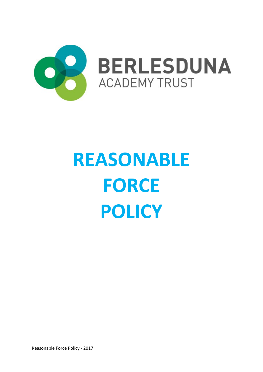

# **REASONABLE FORCE POLICY**

Reasonable Force Policy - 2017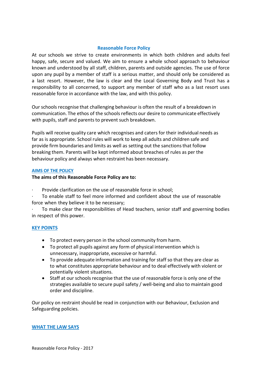## **Reasonable Force Policy**

At our schools we strive to create environments in which both children and adults feel happy, safe, secure and valued. We aim to ensure a whole school approach to behaviour known and understood by all staff, children, parents and outside agencies. The use of force upon any pupil by a member of staff is a serious matter, and should only be considered as a last resort. However, the law is clear and the Local Governing Body and Trust has a responsibility to all concerned, to support any member of staff who as a last resort uses reasonable force in accordance with the law, and with this policy.

Our schools recognise that challenging behaviour is often the result of a breakdown in communication. The ethos of the schools reflects our desire to communicate effectively with pupils, staff and parents to prevent such breakdown.

Pupils will receive quality care which recognises and caters for their individual needs as far as is appropriate. School rules will work to keep all adults and children safe and provide firm boundaries and limits as well as setting out the sanctionsthat follow breaking them. Parents will be kept informed about breaches of rules as per the behaviour policy and always when restraint has been necessary.

#### **AIMS OF THE POLICY**

**The aims of this Reasonable Force Policy are to:**

Provide clarification on the use of reasonable force in school;

To enable staff to feel more informed and confident about the use of reasonable force when they believe it to be necessary;

To make clear the responsibilities of Head teachers, senior staff and governing bodies in respect of this power.

#### **KEY POINTS**

- To protect every person in the school community from harm.
- To protect all pupils against any form of physical intervention which is unnecessary, inappropriate, excessive or harmful.
- To provide adequate information and training for staff so that they are clear as to what constitutes appropriate behaviour and to deal effectively with violent or potentially violent situations.
- Staff at our schools recognise that the use of reasonable force is only one of the strategies available to secure pupil safety / well-being and also to maintain good order and discipline.

Our policy on restraint should be read in conjunction with our Behaviour, Exclusion and Safeguarding policies.

#### **WHAT THE LAW SAYS**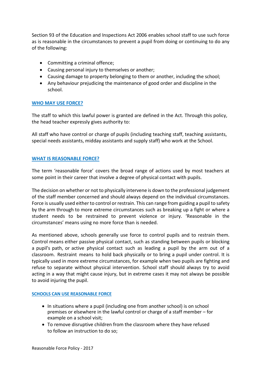Section 93 of the Education and Inspections Act 2006 enables school staff to use such force as is reasonable in the circumstances to prevent a pupil from doing or continuing to do any of the following:

- Committing a criminal offence;
- Causing personal injury to themselves or another;
- Causing damage to property belonging to them or another, including the school;
- Any behaviour prejudicing the maintenance of good order and discipline in the school.

#### **WHO MAY USE FORCE?**

The staff to which this lawful power is granted are defined in the Act. Through this policy, the head teacher expressly gives authority to:

All staff who have control or charge of pupils (including teaching staff, teaching assistants, special needs assistants, midday assistants and supply staff) who work at the School.

#### **WHAT IS REASONABLE FORCE?**

The term 'reasonable force' covers the broad range of actions used by most teachers at some point in their career that involve a degree of physical contact with pupils.

The decision on whether or not to physically intervene is down to the professional judgement of the staff member concerned and should always depend on the individual circumstances. Force is usually used either to control or restrain. This can range from guiding a pupil to safety by the arm through to more extreme circumstances such as breaking up a fight or where a student needs to be restrained to prevent violence or injury. 'Reasonable in the circumstances' means using no more force than is needed.

As mentioned above, schools generally use force to control pupils and to restrain them. Control means either passive physical contact, such as standing between pupils or blocking a pupil's path, or active physical contact such as leading a pupil by the arm out of a classroom. Restraint means to hold back physically or to bring a pupil under control. It is typically used in more extreme circumstances, for example when two pupils are fighting and refuse to separate without physical intervention. School staff should always try to avoid acting in a way that might cause injury, but in extreme cases it may not always be possible to avoid injuring the pupil.

#### **SCHOOLS CAN USE REASONABLE FORCE**

- In situations where a pupil (including one from another school) is on school premises or elsewhere in the lawful control or charge of a staff member – for example on a school visit;
- To remove disruptive children from the classroom where they have refused to follow an instruction to do so;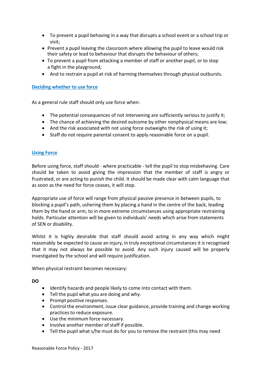- To prevent a pupil behaving in a way that disrupts a school event or a school trip or visit;
- Prevent a pupil leaving the classroom where allowing the pupil to leave would risk their safety or lead to behaviour that disrupts the behaviour of others;
- To prevent a pupil from attacking a member of staff or another pupil, or to stop a fight in the playground;
- And to restrain a pupil at risk of harming themselves through physical outbursts.

### **Deciding whether to use force**

As a general rule staff should only use force when:

- The potential consequences of not intervening are sufficiently serious to justify it;
- The chance of achieving the desired outcome by other nonphysical means are low;
- And the risk associated with not using force outweighs the risk of using it;
- Staff do not require parental consent to apply reasonable force on a pupil.

#### **Using Force**

Before using force, staff should - where practicable - tell the pupil to stop misbehaving. Care should be taken to avoid giving the impression that the member of staff is angry or frustrated, or are acting to punish the child. It should be made clear with calm language that as soon as the need for force ceases, it will stop.

Appropriate use of force will range from physical passive presence in between pupils, to blocking a pupil's path, ushering them by placing a hand in the centre of the back, leading them by the hand or arm, to in more extreme circumstances using appropriate restraining holds. Particular attention will be given to individuals' needs which arise from statements of SEN or disability.

Whilst it is highly desirable that staff should avoid acting in any way which might reasonably be expected to cause an injury, in truly exceptional circumstances it is recognised that it may not always be possible to avoid. Any such injury caused will be properly investigated by the school and will require justification.

When physical restraint becomes necessary:

**DO**

- Identify hazards and people likely to come into contact with them.
- Tell the pupil what you are doing and why.
- Prompt positive responses.
- Control the environment, issue clear guidance, provide training and change working practices to reduce exposure.
- Use the minimum force necessary.
- Involve another member of staff if possible.
- Tell the pupil what s/he must do for you to remove the restraint (this may need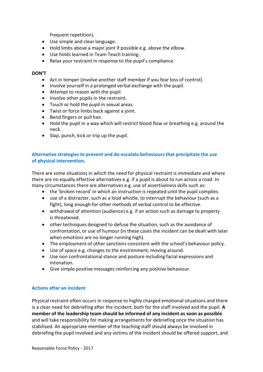frequent repetition).

- Use simple and clear language.
- Hold limbs above a major joint if possible e.g. above the elbow.
- Use holds learned in Team Teach training.
- Relax your restraint in response to the pupil's compliance.

#### **DON'T**

- Act in temper (involve another staff member if you fear loss of control).
- Involve yourself in a prolonged verbal exchange with the pupil.
- Attempt to reason with the pupil.
- Involve other pupils in the restraint.
- Touch or hold the pupil in sexual areas.
- Twist or force limbs back against a joint.
- Bend fingers or pull hair.
- Hold the pupil in a way which will restrict blood flow or breathing e.g. around the neck.
- Slap, punch, kick or trip up the pupil.

# **Alternative strategiesto prevent and de-escalate behavioursthat precipitate the use of physical intervention.**

There are some situations in which the need for physical restraint is immediate and where there are no equally effective alternatives e.g. if a pupil is about to run across a road. In many circumstances there are alternatives e.g. use of assertivenessskills such as:

- the 'broken record' in which an instruction is repeated until the pupil complies.
- $\bullet$  use of a distracter, such as a loud whistle, to interrupt the behaviour (such as a fight), long enough for other methods of verbal control to be effective.
- withdrawal of attention (audience) e.g. if an action such as damage to property is threatened.
- other techniques designed to defuse the situation, such as the avoidance of confrontation, or use of humour (in these cases the incident can be dealt with later when emotions are no longer running high).
- The employment of other sanctions consistent with the school's behaviour policy.
- Use of space e.g. changes to the environment, moving around.
- Use non confrontationalstance and posture including facial expressions and intonation.
- Give simple positive messages reinforcing any positive behaviour.

#### **Actions after an incident**

Physical restraint often occurs in response to highly charged emotional situations and there is a clear need for debriefing after the incident, both for the staff involved and the pupil. **A member of the leadership team should be informed of any incident as soon as possible** and will take responsibility for making arrangements for debriefing once the situation has stabilised. An appropriate member of the teaching staff should always be involved in debriefing the pupil involved and any victims of the incident should be offered support, and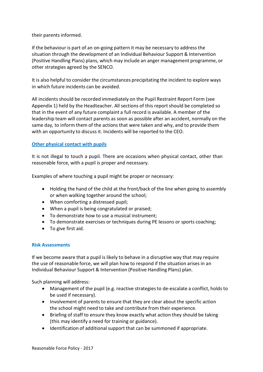their parents informed.

If the behaviour is part of an on-going pattern it may be necessary to address the situation through the development of an Individual Behaviour Support & Intervention (Positive Handling Plans) plans, which may include an anger management programme, or other strategies agreed by the SENCO.

It is also helpful to consider the circumstances precipitating the incident to explore ways in which future incidents can be avoided.

All incidentsshould be recorded immediately on the Pupil Restraint Report Form (see Appendix 1) held by the Headteacher. All sections of this report should be completed so that in the event of any future complaint a full record is available. A member of the leadership team will contact parents as soon as possible after an accident, normally on the same day, to inform them of the actions that were taken and why, and to provide them with an opportunity to discuss it. Incidents will be reported to the CEO.

## **Other physical contact with pupils**

It is not illegal to touch a pupil. There are occasions when physical contact, other than reasonable force, with a pupil is proper and necessary.

Examples of where touching a pupil might be proper or necessary:

- Holding the hand of the child at the front/back of the line when going to assembly or when walking together around the school;
- When comforting a distressed pupil;
- When a pupil is being congratulated or praised;
- To demonstrate how to use a musical instrument;
- To demonstrate exercises or techniques during PE lessons or sports coaching;
- To give first aid.

## **Risk Assessments**

If we become aware that a pupil is likely to behave in a disruptive way that may require the use of reasonable force, we will plan how to respond if the situation arises in an Individual Behaviour Support & Intervention (Positive Handling Plans) plan.

Such planning will address:

- Management of the pupil (e.g. reactive strategiesto de-escalate a conflict, holds to be used if necessary).
- Involvement of parents to ensure that they are clear about the specific action the school might need to take and contribute from their experience.
- Briefing of staff to ensure they know exactly what action they should be taking (this may identify a need for training or guidance).
- Identification of additional support that can be summoned if appropriate.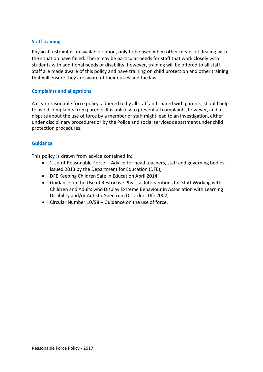## **Staff training**

Physical restraint is an available option, only to be used when other means of dealing with the situation have failed. There may be particular needs for staff that work closely with students with additional needs or disability; however, training will be offered to all staff. Staff are made aware of this policy and have training on child protection and other training that will ensure they are aware of their duties and the law.

#### **Complaints and allegations**

A clear reasonable force policy, adhered to by all staff and shared with parents, should help to avoid complaints from parents. It is unlikely to prevent all complaints, however, and a dispute about the use of force by a member of staff might lead to an investigation, either under disciplinary procedures or by the Police and social services department under child protection procedures.

#### **Guidance**

This policy is drawn from advice contained in:

- 'Use of Reasonable Force Advice for head teachers, staff and governing bodies' issued 2013 by the Department for Education (DFE);
- DFE Keeping Children Safe in Education April 2014;
- Guidance on the Use of Restrictive Physical Interventions for Staff Working with Children and Adults who Display Extreme Behaviour in Association with Learning Disability and/or Autistic Spectrum Disorders Dfe 2002;
- Circular Number 10/98 Guidance on the use of force.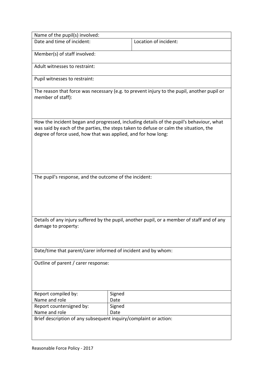| Name of the pupil(s) involved:                                                                                                                                                                                                                    |                |                       |
|---------------------------------------------------------------------------------------------------------------------------------------------------------------------------------------------------------------------------------------------------|----------------|-----------------------|
| Date and time of incident:                                                                                                                                                                                                                        |                | Location of incident: |
| Member(s) of staff involved:                                                                                                                                                                                                                      |                |                       |
| Adult witnesses to restraint:                                                                                                                                                                                                                     |                |                       |
| Pupil witnesses to restraint:                                                                                                                                                                                                                     |                |                       |
| The reason that force was necessary (e.g. to prevent injury to the pupil, another pupil or<br>member of staff):                                                                                                                                   |                |                       |
| How the incident began and progressed, including details of the pupil's behaviour, what<br>was said by each of the parties, the steps taken to defuse or calm the situation, the<br>degree of force used, how that was applied, and for how long: |                |                       |
| The pupil's response, and the outcome of the incident:                                                                                                                                                                                            |                |                       |
| Details of any injury suffered by the pupil, another pupil, or a member of staff and of any<br>damage to property:                                                                                                                                |                |                       |
| Date/time that parent/carer informed of incident and by whom:                                                                                                                                                                                     |                |                       |
| Outline of parent / carer response:                                                                                                                                                                                                               |                |                       |
| Report compiled by:                                                                                                                                                                                                                               | Signed         |                       |
| Name and role<br>Report countersigned by:                                                                                                                                                                                                         | Date<br>Signed |                       |
| Name and role                                                                                                                                                                                                                                     | Date           |                       |
| Brief description of any subsequent inquiry/complaint or action:                                                                                                                                                                                  |                |                       |